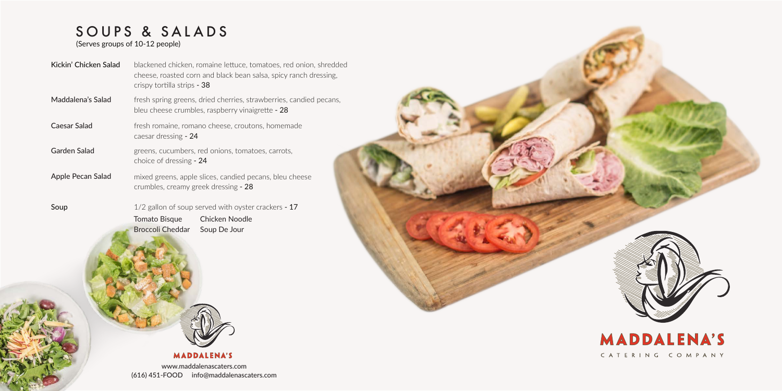## SOUPS & SALADS

www.maddalenascaters.com (616) 451-FOOD info@maddalenascaters.com



CATERING COMPANY

Tomato Bisque Broccoli Cheddar Soup De Jour Chicken Noodle



## **MADDALENA'S**

(Serves groups of 10-12 people)

| Kickin' Chicken Salad | blackened chicken, romaine lettuce, tomatoes, red onion, shredded<br>cheese, roasted corn and black bean salsa, spicy ranch dressing,<br>crispy tortilla strips - 38 |
|-----------------------|----------------------------------------------------------------------------------------------------------------------------------------------------------------------|
| Maddalena's Salad     | fresh spring greens, dried cherries, strawberries, candied pecans,<br>bleu cheese crumbles, raspberry vinaigrette - 28                                               |
| Caesar Salad          | fresh romaine, romano cheese, croutons, homemade<br>caesar dressing - 24                                                                                             |
| <b>Garden Salad</b>   | greens, cucumbers, red onions, tomatoes, carrots,<br>choice of dressing - 24                                                                                         |
| Apple Pecan Salad     | mixed greens, apple slices, candied pecans, bleu cheese<br>crumbles, creamy greek dressing - 28                                                                      |
| Soup                  | $1/2$ gallon of soup served with oyster crackers - 17                                                                                                                |